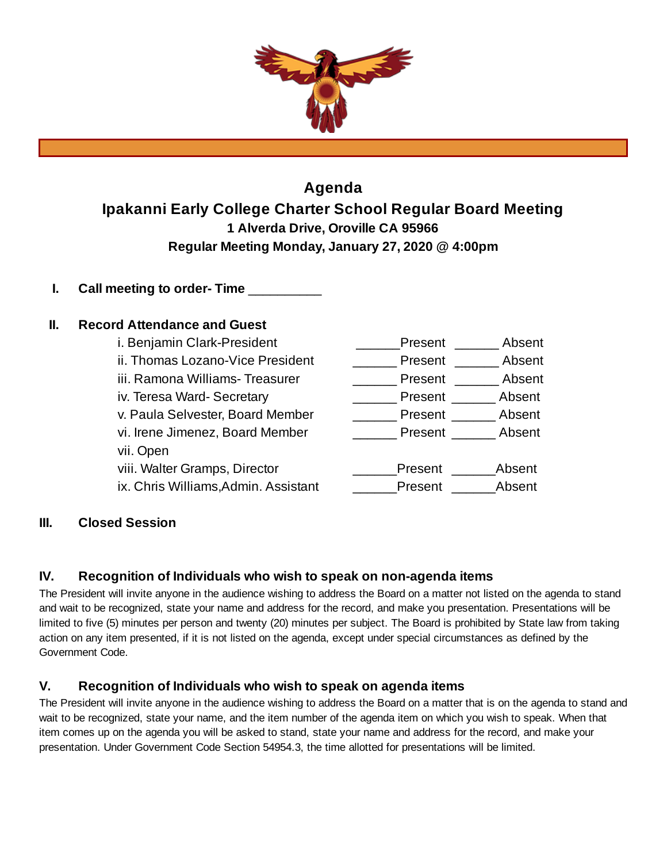

# **Agenda Ipakanni Early College Charter School Regular Board Meeting 1 Alverda Drive, Oroville CA 95966 Regular Meeting Monday, January 27, 2020 @ 4:00pm**

**I. Call meeting to order- Time** \_\_\_\_\_\_\_\_\_\_

# **II. Record Attendance and Guest**

| i. Benjamin Clark-President          | Present | Absent |
|--------------------------------------|---------|--------|
| ii. Thomas Lozano-Vice President     | Present | Absent |
| iii. Ramona Williams- Treasurer      | Present | Absent |
| iv. Teresa Ward-Secretary            | Present | Absent |
| v. Paula Selvester, Board Member     | Present | Absent |
| vi. Irene Jimenez, Board Member      | Present | Absent |
| vii. Open                            |         |        |
| viii. Walter Gramps, Director        | Present | Absent |
| ix. Chris Williams, Admin. Assistant | Present | Absent |

# **III. Closed Session**

# **IV. Recognition of Individuals who wish to speak on non-agenda items**

The President will invite anyone in the audience wishing to address the Board on a matter not listed on the agenda to stand and wait to be recognized, state your name and address for the record, and make you presentation. Presentations will be limited to five (5) minutes per person and twenty (20) minutes per subject. The Board is prohibited by State law from taking action on any item presented, if it is not listed on the agenda, except under special circumstances as defined by the Government Code.

# **V. Recognition of Individuals who wish to speak on agenda items**

The President will invite anyone in the audience wishing to address the Board on a matter that is on the agenda to stand and wait to be recognized, state your name, and the item number of the agenda item on which you wish to speak. When that item comes up on the agenda you will be asked to stand, state your name and address for the record, and make your presentation. Under Government Code Section 54954.3, the time allotted for presentations will be limited.